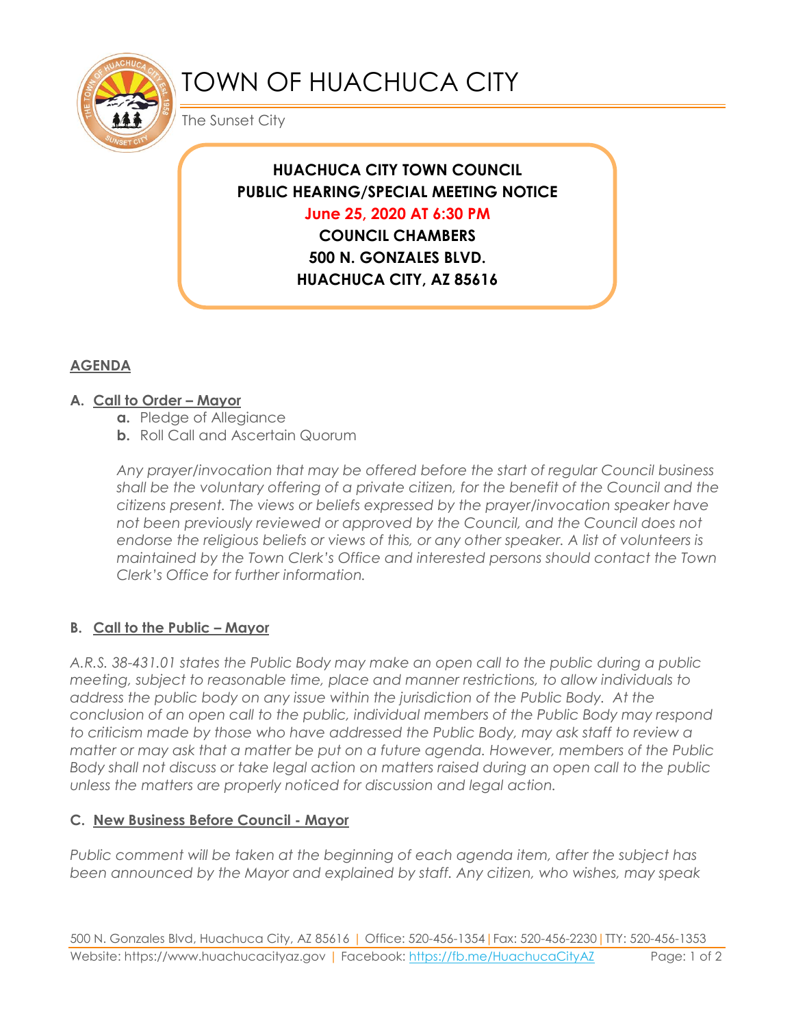

# TOWN OF HUACHUCA CITY

The Sunset City

## **HUACHUCA CITY TOWN COUNCIL PUBLIC HEARING/SPECIAL MEETING NOTICE June 25, 2020 AT 6:30 PM**

**COUNCIL CHAMBERS 500 N. GONZALES BLVD. HUACHUCA CITY, AZ 85616**

### **AGENDA**

#### **A. Call to Order – Mayor**

- **a.** Pledge of Allegiance
- **b.** Roll Call and Ascertain Quorum

*Any prayer/invocation that may be offered before the start of regular Council business shall be the voluntary offering of a private citizen, for the benefit of the Council and the citizens present. The views or beliefs expressed by the prayer/invocation speaker have not been previously reviewed or approved by the Council, and the Council does not endorse the religious beliefs or views of this, or any other speaker. A list of volunteers is maintained by the Town Clerk's Office and interested persons should contact the Town Clerk's Office for further information.*

#### **B. Call to the Public – Mayor**

*A.R.S. 38-431.01 states the Public Body may make an open call to the public during a public meeting, subject to reasonable time, place and manner restrictions, to allow individuals to address the public body on any issue within the jurisdiction of the Public Body. At the conclusion of an open call to the public, individual members of the Public Body may respond to criticism made by those who have addressed the Public Body, may ask staff to review a matter or may ask that a matter be put on a future agenda. However, members of the Public Body shall not discuss or take legal action on matters raised during an open call to the public unless the matters are properly noticed for discussion and legal action.*

#### **C. New Business Before Council - Mayor**

*Public comment will be taken at the beginning of each agenda item, after the subject has been announced by the Mayor and explained by staff. Any citizen, who wishes, may speak*